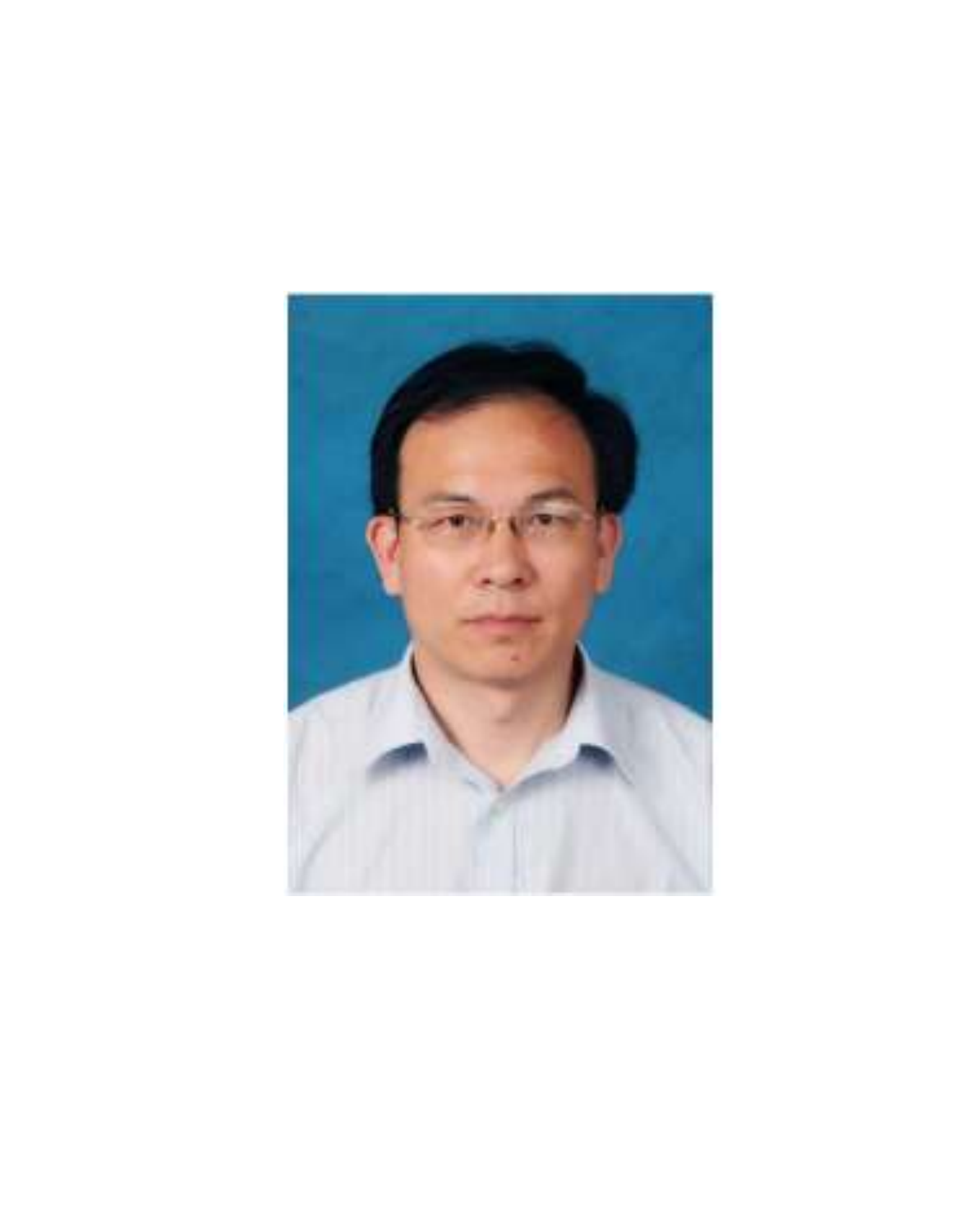